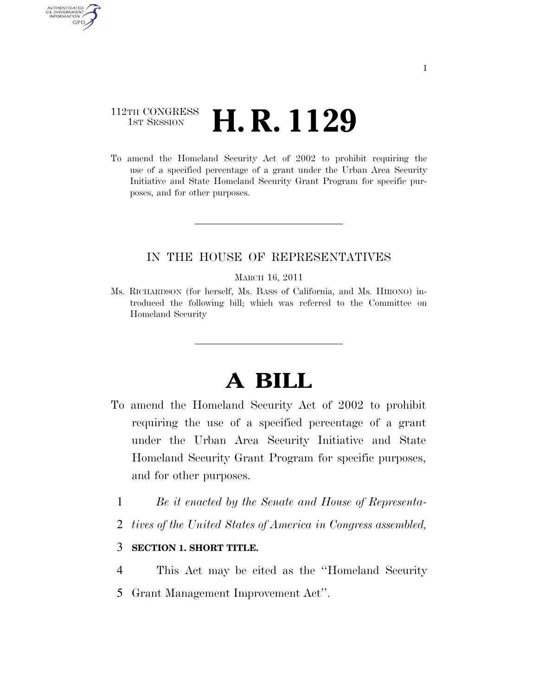### 112TH CONGRESS **1st Session H. R. 1129**

AUTHENTICATED U.S. GOVERNMENT **GPO** 

> To amend the Homeland Security Act of 2002 to prohibit requiring the use of a specified percentage of a grant under the Urban Area Security Initiative and State Homeland Security Grant Program for specific purposes, and for other purposes.

#### IN THE HOUSE OF REPRESENTATIVES

#### MARCH 16, 2011

Ms. RICHARDSON (for herself, Ms. BASS of California, and Ms. HIRONO) introduced the following bill; which was referred to the Committee on Homeland Security

# **A BILL**

- To amend the Homeland Security Act of 2002 to prohibit requiring the use of a specified percentage of a grant under the Urban Area Security Initiative and State Homeland Security Grant Program for specific purposes, and for other purposes.
	- 1 *Be it enacted by the Senate and House of Representa-*
	- 2 *tives of the United States of America in Congress assembled,*

#### 3 **SECTION 1. SHORT TITLE.**

- 4 This Act may be cited as the ''Homeland Security
- 5 Grant Management Improvement Act''.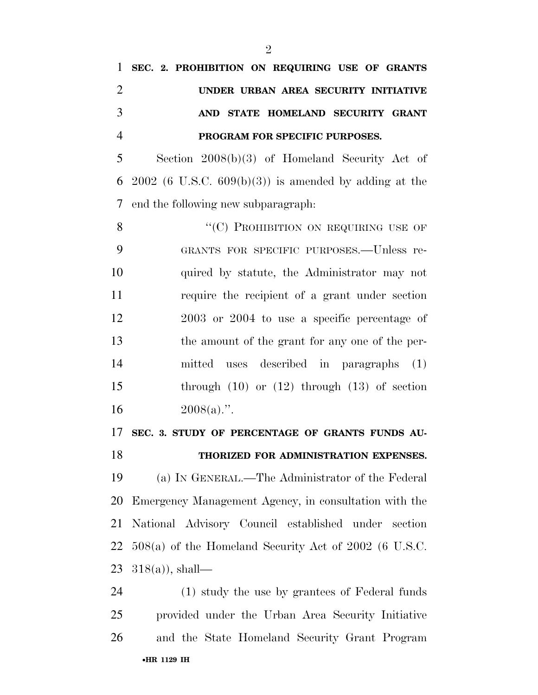## **SEC. 2. PROHIBITION ON REQUIRING USE OF GRANTS UNDER URBAN AREA SECURITY INITIATIVE AND STATE HOMELAND SECURITY GRANT PROGRAM FOR SPECIFIC PURPOSES.**

 Section 2008(b)(3) of Homeland Security Act of 6 2002 (6 U.S.C.  $609(b)(3)$ ) is amended by adding at the end the following new subparagraph:

8 "(C) PROHIBITION ON REQUIRING USE OF GRANTS FOR SPECIFIC PURPOSES.—Unless re- quired by statute, the Administrator may not require the recipient of a grant under section 2003 or 2004 to use a specific percentage of the amount of the grant for any one of the per- mitted uses described in paragraphs (1) through (10) or (12) through (13) of section  $2008(a)$ .".

**SEC. 3. STUDY OF PERCENTAGE OF GRANTS FUNDS AU-**

#### **THORIZED FOR ADMINISTRATION EXPENSES.**

 (a) IN GENERAL.—The Administrator of the Federal Emergency Management Agency, in consultation with the National Advisory Council established under section 508(a) of the Homeland Security Act of 2002 (6 U.S.C.  $318(a)$ , shall—

•**HR 1129 IH** (1) study the use by grantees of Federal funds provided under the Urban Area Security Initiative and the State Homeland Security Grant Program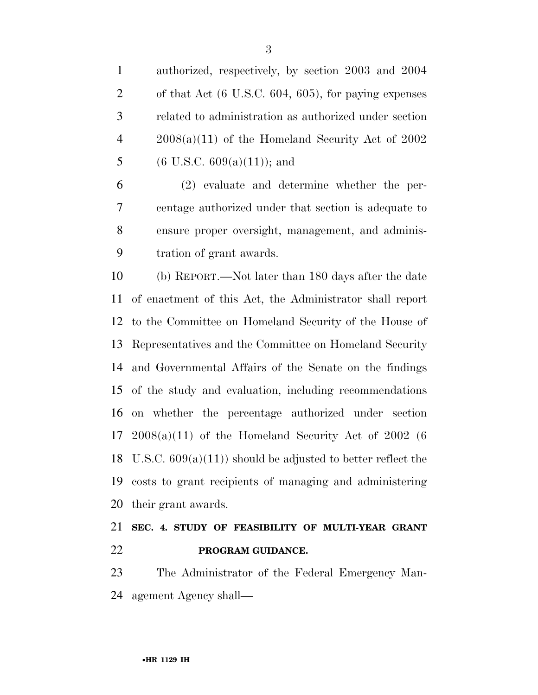authorized, respectively, by section 2003 and 2004 of that Act (6 U.S.C. 604, 605), for paying expenses related to administration as authorized under section  $4 \qquad 2008(a)(11)$  of the Homeland Security Act of 2002 5 (6 U.S.C.  $609(a)(11)$ ); and

 (2) evaluate and determine whether the per- centage authorized under that section is adequate to ensure proper oversight, management, and adminis-tration of grant awards.

 (b) REPORT.—Not later than 180 days after the date of enactment of this Act, the Administrator shall report to the Committee on Homeland Security of the House of Representatives and the Committee on Homeland Security and Governmental Affairs of the Senate on the findings of the study and evaluation, including recommendations on whether the percentage authorized under section 17 2008(a)(11) of the Homeland Security Act of 2002 (6 18 U.S.C.  $609(a)(11)$  should be adjusted to better reflect the costs to grant recipients of managing and administering their grant awards.

### **SEC. 4. STUDY OF FEASIBILITY OF MULTI-YEAR GRANT PROGRAM GUIDANCE.**

 The Administrator of the Federal Emergency Man-agement Agency shall—